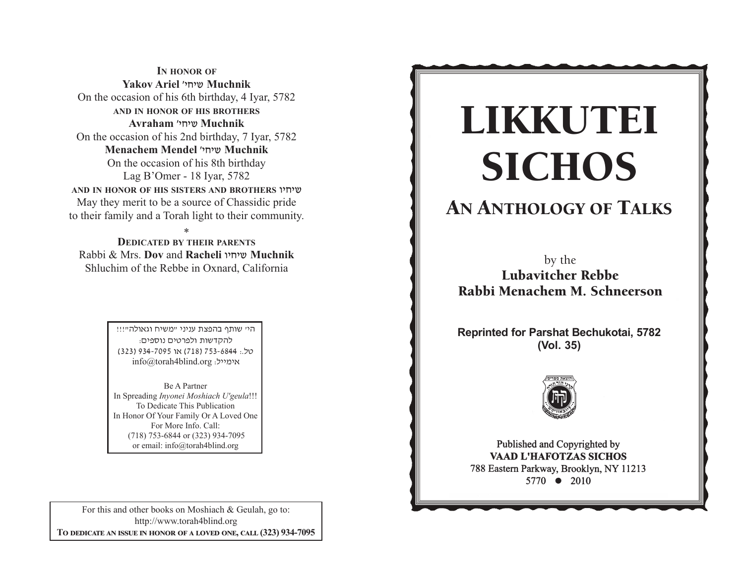**IN HONOR OF Yakov Ariel** whjha **Muchnik** On the occasion of his 6th birthday, 4 Iyar, 5782 **AND IN HONOR OF HIS BROTHERS Avraham** whjha **Muchnik**  On the occasion of his 2nd birthday, 7 Iyar, 5782 **Menachem Mendel** whjha **Muchnik** On the occasion of his 8th birthday Lag B'Omer - 18 Iyar, 5782 **AND IN HONOR OF HIS SISTERS AND BROTHERS** uhjha May they merit to be a source of Chassidic pride to their family and a Torah light to their community.

\* **DEDICATED BY THEIR PARENTS** Rabbi & Mrs. **Dov** and **Racheli** uhjha **Muchnik** Shluchim of the Rebbe in Oxnard, California

> היי שותף בהפצת עניני "משיח וגאולה"!!! להקדשות ולפרטים נוספים: yk/: 4486-357 )817( tu 5907-439 )323( info@torah4blind.org אימייל:

Be A PartnerIn Spreading *Inyonei Moshiach U'geula*!!! To Dedicate This Publication In Honor Of Your Family Or A Loved One For More Info. Call: (718) 753-6844 or (323) 934-7095 or email: info@torah4blind.org

For this and other books on Moshiach & Geulah, go to: http://www.torah4blind.org  $\bf{To \textbf{ DEDICATE \textbf{AN} \textbf{ ISSUE} \textbf{ IN HONOR} \textbf{OF} \textbf{A} \textbf{ LOVED} \textbf{ONE}, \textbf{CALL} \textbf{(323) } 934\textbf{-7095}}$ 

# $\overline{\text{CICHOS}}$ -**SICHOS**<br>SICHOS<br>by the<br>Lubavitcher Rebbe<br>bi Menachem M. Schnee<br>inted for Parshat Bechukotai<br>(Vol. 35)<br>Published and Copyrighted by<br>Pablished and Copyrighted by<br>Pablished and Copyrighted by<br>Pablished and Copyrighted by<br>Raap -LIKKUTEI SICHOS

## ANIHOLOGY OF TA AN ANTHOLOGY OF TALKS

b b Lubavitcher Rebbe Rabbi Menachem M. Schneerson by the

**Reprinted for Parshat Bechukotai, 5782** C CC **(Vol. 35)**



s eastern Parkway, Brooklyn, NY 112  $5770 \bullet 2010$  $\frac{31}{10}$   $\sqrt{2010}$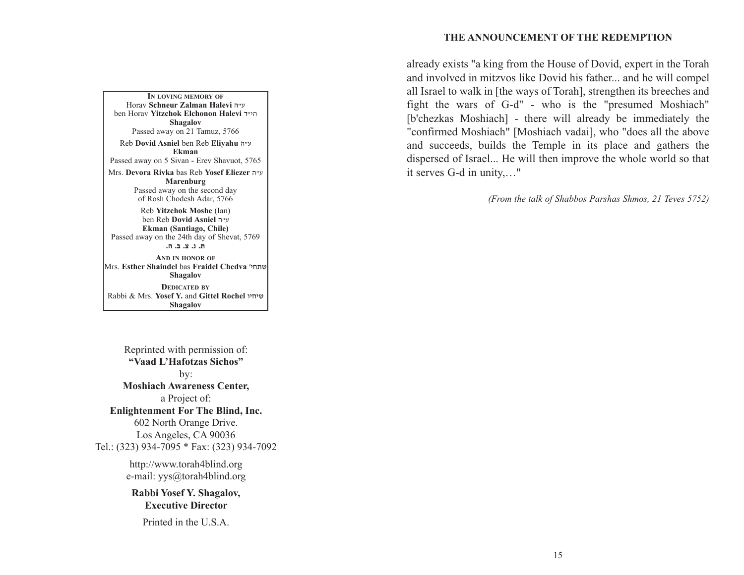#### **THE ANNOUNCEMENT OF THE REDEMPTION**

already exists "a king from the House of Dovid, expert in the Torah and involved in mitzvos like Dovid his father... and he will compel all Israel to walk in [the ways of Torah], strengthen its breeches and fight the wars of G-d" - who is the "presumed Moshiach" [b'chezkas Moshiach] - there will already be immediately the "confirmed Moshiach" [Moshiach vadai], who "does all the above and succeeds, builds the Temple in its place and gathers the dispersed of Israel... He will then improve the whole world so that it serves G-d in unity,…"

*(From the talk of Shabbos Parshas Shmos, 21 Teves 5752)*

A PARALLEL BETWEEN MANNA AND SHABBOS **Ekman IN LOVING MEMORY OF**Horav **Schneur Zalman Halevi** v"g ben Horav **Yitzchok Elchonon Halevi** s"hv**Shagalov** Passed away on 21 Tamuz, 5766 Reb **Dovid Asniel** ben Reb **Eliyahu** <sup>v</sup>"g Passed away on 5 Sivan - Erev Shavuot, 5765 Mrs. **Devora Rivka** bas Reb **Yosef Eliezer** v"g **Marenburg**

Passed away on the second day of Rosh Chodesh Adar, 5766

Reb **Yitzchok Moshe** (Ian) ben Reb **Dovid Asniel** v"g **Ekman (Santiago, Chile)** Passed away on the 24th day of Shevat, 5769 **/v /c /m /b /,AND IN HONOR OF**Mrs. **Esther Shaindel** bas **Fraidel Chedva** whj,a**Shagalov DEDICATED BY**Rabbi & Mrs. **Yosef Y.** and **Gittel Rochel** uhjha**Shagalov**

Reprinted with permission of: **"Vaad L'Hafotzas Sichos"**by: **Moshiach Awareness Center,** a Project of: **Enlightenment For The Blind, Inc.** 602 North Orange Drive. Los Angeles, CA 90036 Tel.: (323) 934-7095 \* Fax: (323) 934-7092 http://www.torah4blind.org e-mail: yys@torah4blind.org

> **Rabbi Yosef Y. Shagalov, Executive Director**

Printed in the U.S.A.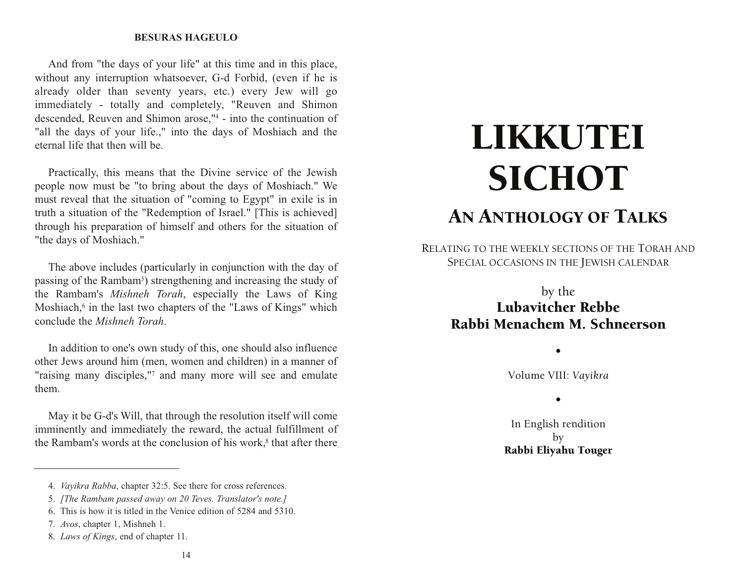#### **BESURAS HAGEULO**

And from "the days of your life" at this time and in this place, without any interruption whatsoever, G-d Forbid, (even if he is already older than seventy years, etc.) every Jew will go immediately - totally and completely, "Reuven and Shimon descended, Reuven and Shimon arose,"4 - into the continuation of "all the days of your life.," into the days of Moshiach and the eternal life that then will be.

Practically, this means that the Divine service of the Jewish people now must be "to bring about the days of Moshiach." We must reveal that the situation of "coming to Egypt" in exile is in truth a situation of the "Redemption of Israel." [This is achieved] through his preparation of himself and others for the situation of "the days of Moshiach."

The above includes (particularly in conjunction with the day of passing of the Rambam5) strengthening and increasing the study of the Rambam's *Mishneh Torah*, especially the Laws of King Moshiach,<sup>6</sup> in the last two chapters of the "Laws of Kings" which conclude the *Mishneh Torah*.

In addition to one's own study of this, one should also influence other Jews around him (men, women and children) in a manner of "raising many disciples,"7 and many more will see and emulate them.

May it be G-d's Will, that through the resolution itself will come imminently and immediately the reward, the actual fulfillment of the Rambam's words at the conclusion of his work, $8$  that after there

#### 14

# LIKKUTEI **SICHOT** AN ANTHOLOGY OF TALKS

RELATING TO THE WEEKLY SECTIONS OF THE TORAH AND SPECIAL OCCASIONS IN THE JEWISH CALENDAR

# by the Lubavitcher Rebbe Rabbi Menachem M. Schneerson

Volume VIII: *Vayikra*

•

•

In English rendition by Rabbi Eliyahu Touger

<sup>4.</sup> *Vayikra Rabba*, chapter 32:5. See there for cross references.

<sup>5.</sup> *[The Rambam passed away on 20 Teves. Translator's note.]*

<sup>6.</sup> This is how it is titled in the Venice edition of 5284 and 5310.

<sup>7.</sup> *Avos*, chapter 1, Mishneh 1.

<sup>8.</sup> *Laws of Kings*, end of chapter 11.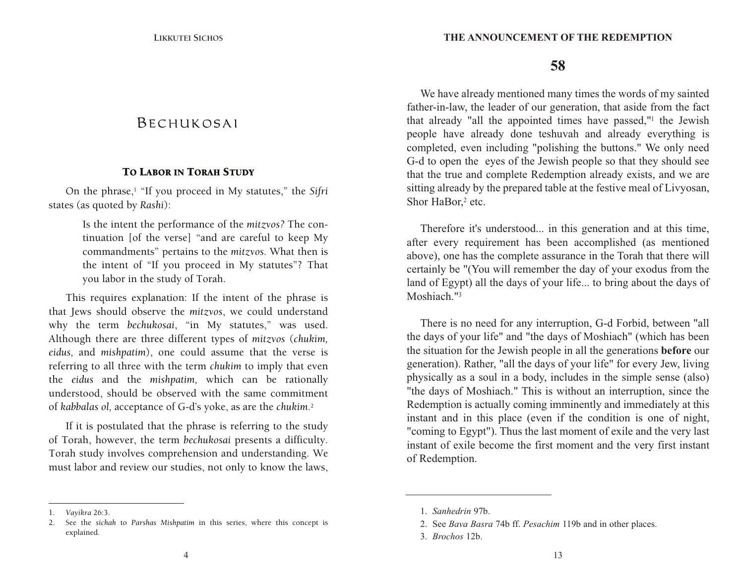# B E CHUK O SA I

#### TO LABOR IN TORAH STUDY

On the phrase,1 "If you proceed in My statutes," the *Sifri*  states (as quoted by *Rashi*):

> Is the intent the performance of the *mitzvos?* The continuation [of the verse] "and are careful to keep My commandments" pertains to the *mitzvos*. What then is the intent of "If you proceed in My statutes"? That you labor in the study of Torah.

This requires explanation: If the intent of the phrase is that Jews should observe the *mitzvos*, we could understand why the term *bechukosai*, "in My statutes," was used. Although there are three different types of *mitzvos* (*chukim, eidus,* and *mishpatim*), one could assume that the verse is referring to all three with the term *chukim* to imply that even the *eidus* and the *mishpatim,* which can be rationally understood, should be observed with the same commitment of *kabbalas ol,* acceptance of G-d's yoke, as are the *chukim.*<sup>2</sup>

If it is postulated that the phrase is referring to the study of Torah, however, the term *bechukosai* presents a difficulty. Torah study involves comprehension and understanding. We must labor and review our studies, not only to know the laws,

**58**

We have already mentioned many times the words of my sainted father-in-law, the leader of our generation, that aside from the fact that already "all the appointed times have passed,"1 the Jewish people have already done teshuvah and already everything is completed, even including "polishing the buttons." We only need G-d to open the eyes of the Jewish people so that they should see that the true and complete Redemption already exists, and we are sitting already by the prepared table at the festive meal of Livyosan, Shor HaBor,<sup>2</sup> etc.

Therefore it's understood... in this generation and at this time, after every requirement has been accomplished (as mentioned above), one has the complete assurance in the Torah that there will certainly be "(You will remember the day of your exodus from the land of Egypt) all the days of your life... to bring about the days of Moshiach."<sup>3</sup>

There is no need for any interruption, G-d Forbid, between "all the days of your life" and "the days of Moshiach" (which has been the situation for the Jewish people in all the generations **before** our generation). Rather, "all the days of your life" for every Jew, living physically as a soul in a body, includes in the simple sense (also) "the days of Moshiach." This is without an interruption, since the Redemption is actually coming imminently and immediately at this instant and in this place (even if the condition is one of night, "coming to Egypt"). Thus the last moment of exile and the very last instant of exile become the first moment and the very first instant of Redemption.

<sup>1.</sup> *Vayikra* 26:3.

<sup>2.</sup> See the *sichah* to *Parshas Mishpatim* in this series, where this concept is explained.

<sup>1.</sup> *Sanhedrin* 97b.

<sup>2.</sup> See *Bava Basra* 74b ff. *Pesachim* 119b and in other places.

<sup>3.</sup> *Brochos* 12b.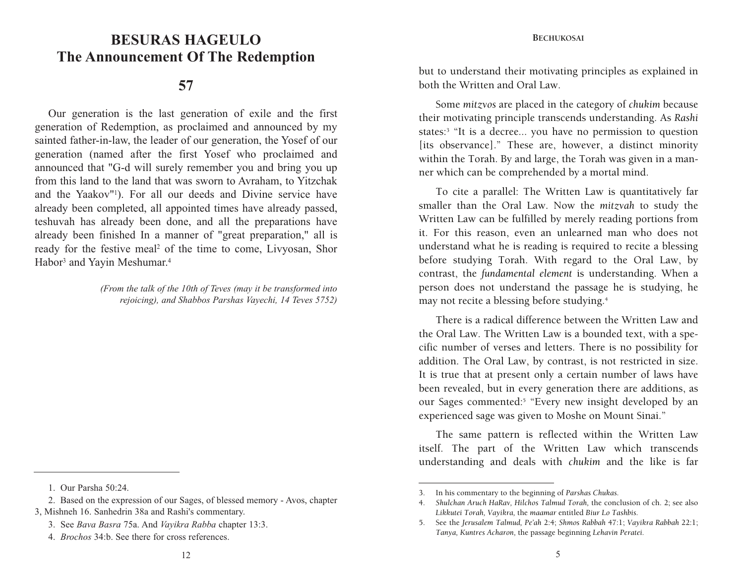# **BESURAS HAGEULO BESURAS HAGEULOThe Announcement Of The Redemption**

## **57**

Our generation is the last generation of exile and the first generation of Redemption, as proclaimed and announced by my sainted father-in-law, the leader of our generation, the Yosef of our generation (named after the first Yosef who proclaimed and announced that "G-d will surely remember you and bring you up from this land to the land that was sworn to Avraham, to Yitzchak and the Yaakov"1). For all our deeds and Divine service have already been completed, all appointed times have already passed, teshuvah has already been done, and all the preparations have already been finished In a manner of "great preparation," all is ready for the festive meal<sup>2</sup> of the time to come, Livyosan, Shor Habor<sup>3</sup> and Yayin Meshumar.<sup>4</sup>

> *(From the talk of the 10th of Teves (may it be transformed into rejoicing), and Shabbos Parshas Vayechi, 14 Teves 5752)*

1. Our Parsha 50:24.

but to understand their motivating principles as explained in both the Written and Oral Law.

Some *mitzvos* are placed in the category of *chukim* because their motivating principle transcends understanding. As *Rashi*  states:3 "It is a decree... you have no permission to question [its observance]." These are, however, a distinct minority within the Torah. By and large, the Torah was given in a manner which can be comprehended by a mortal mind.

To cite a parallel: The Written Law is quantitatively far smaller than the Oral Law. Now the *mitzvah* to study the Written Law can be fulfilled by merely reading portions from it. For this reason, even an unlearned man who does not understand what he is reading is required to recite a blessing before studying Torah. With regard to the Oral Law, by contrast, the *fundamental element* is understanding. When a person does not understand the passage he is studying, he may not recite a blessing before studying.4

There is a radical difference between the Written Law and the Oral Law. The Written Law is a bounded text, with a specific number of verses and letters. There is no possibility for addition. The Oral Law, by contrast, is not restricted in size. It is true that at present only a certain number of laws have been revealed, but in every generation there are additions, as our Sages commented:<sup>5</sup> "Every new insight developed by an experienced sage was given to Moshe on Mount Sinai."

The same pattern is reflected within the Written Law itself. The part of the Written Law which transcends understanding and deals with *chukim* and the like is far

<sup>2.</sup> Based on the expression of our Sages, of blessed memory - Avos, chapter 3, Mishneh 16. Sanhedrin 38a and Rashi's commentary.

<sup>3.</sup> See *Bava Basra* 75a. And *Vayikra Rabba* chapter 13:3.

<sup>4.</sup> *Brochos* 34:b. See there for cross references.

<sup>3.</sup> In his commentary to the beginning of *Parshas Chukas.*

<sup>4.</sup> *Shulchan Aruch HaRav, Hilchos Talmud Torah,* the conclusion of ch. 2; see also *Likkutei Torah, Vayikra,* the *maamar* entitled *Biur Lo Tashbis.*

<sup>5.</sup> See the *Jerusalem Talmud, Pe'ah* 2:4; *Shmos Rabbah* 47:1; *Vayikra Rabbah* 22:1; *Tanya, Kuntres Acharon,* the passage beginning *Lehavin Peratei.*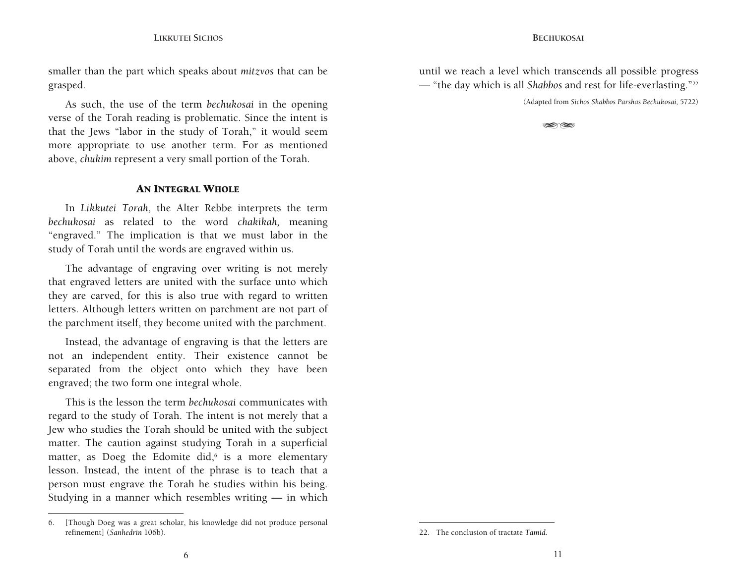**LIKKUTEI SICHOS**

smaller than the part which speaks about *mitzvos* that can be grasped.

above, *chukim* represent a very small portion of the Torah. As such, the use of the term *bechukosai* in the opening verse of the Torah reading is problematic. Since the intent is that the Jews "labor in the study of Torah," it would seem more appropriate to use another term. For as mentioned

#### AN INTEGRAL WHOLE

In *Likkutei Torah*, the Alter Rebbe interprets the term *bechukosai* as related to the word *chakikah,* meaning "engraved." The implication is that we must labor in the study of Torah until the words are engraved within us.

The advantage of engraving over writing is not merely that engraved letters are united with the surface unto which they are carved, for this is also true with regard to written letters. Although letters written on parchment are not part of the parchment itself, they become united with the parchment.

Instead, the advantage of engraving is that the letters are not an independent entity. Their existence cannot be separated from the object onto which they have been engraved; the two form one integral whole.

This is the lesson the term *bechukosai* communicates with regard to the study of Torah. The intent is not merely that a Jew who studies the Torah should be united with the subject matter. The caution against studying Torah in a superficial matter, as Doeg the Edomite did, $6$  is a more elementary lesson. Instead, the intent of the phrase is to teach that a person must engrave the Torah he studies within his being. Studying in a manner which resembles writing — in which

until we reach a level which transcends all possible progress — "the day which is all *Shabbos* and rest for life-everlasting."22

(Adapted from *Sichos Shabbos Parshas Bechukosai,* 5722)

-- 1920

<sup>6. [</sup>Though Doeg was a great scholar, his knowledge did not produce personal refinement] (*Sanhedrin* 106b).

<sup>22.</sup> The conclusion of tractate *Tamid.*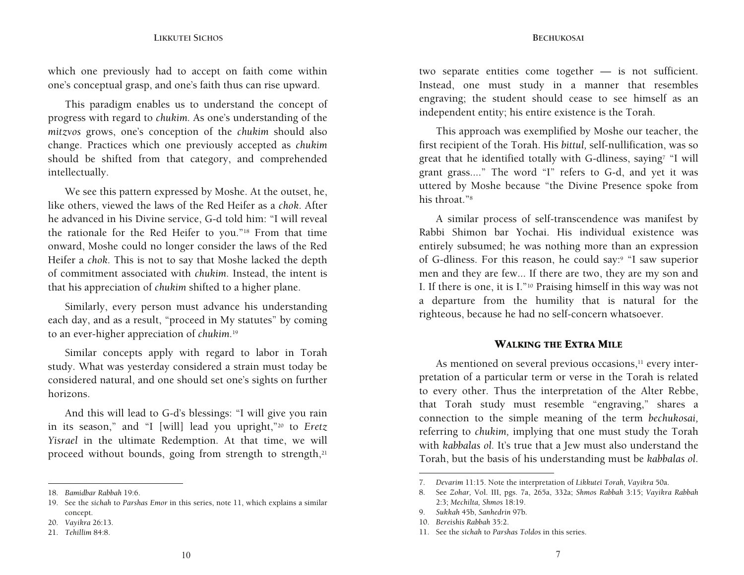which one previously had to accept on faith come within one's conceptual grasp, and one's faith thus can rise upward.

should be shifted from that category, and comprehended This paradigm enables us to understand the concept of progress with regard to *chukim.* As one's understanding of the *mitzvos* grows, one's conception of the *chukim* should also change. Practices which one previously accepted as *chukim* intellectually.

We see this pattern expressed by Moshe. At the outset, he, like others, viewed the laws of the Red Heifer as a *chok*. After he advanced in his Divine service, G-d told him: "I will reveal the rationale for the Red Heifer to you."18 From that time onward, Moshe could no longer consider the laws of the Red Heifer a *chok.* This is not to say that Moshe lacked the depth of commitment associated with *chukim.* Instead, the intent is that his appreciation of *chukim* shifted to a higher plane.

Similarly, every person must advance his understanding each day, and as a result, "proceed in My statutes" by coming to an ever-higher appreciation of *chukim.*<sup>19</sup>

Similar concepts apply with regard to labor in Torah study. What was yesterday considered a strain must today be considered natural, and one should set one's sights on further horizons.

And this will lead to G-d's blessings: "I will give you rain in its season," and "I [will] lead you upright,"20 to *Eretz Yisrael* in the ultimate Redemption. At that time, we will proceed without bounds, going from strength to strength,<sup>21</sup>

two separate entities come together — is not sufficient. Instead, one must study in a manner that resembles engraving; the student should cease to see himself as an independent entity; his entire existence is the Torah.

uttered by Moshe because "the Divine Presence spoke from This approach was exemplified by Moshe our teacher, the first recipient of the Torah. His *bittul,* self-nullification, was so great that he identified totally with G-dliness, saying7 "I will grant grass...." The word "I" refers to G-d, and yet it was his throat."8

A similar process of self-transcendence was manifest by Rabbi Shimon bar Yochai. His individual existence was entirely subsumed; he was nothing more than an expression of G-dliness. For this reason, he could say:9 "I saw superior men and they are few... If there are two, they are my son and I. If there is one, it is I."10 Praising himself in this way was not a departure from the humility that is natural for the righteous, because he had no self-concern whatsoever.

#### WALKING THE EXTRA MILE

As mentioned on several previous occasions,<sup>11</sup> every interpretation of a particular term or verse in the Torah is related to every other. Thus the interpretation of the Alter Rebbe, that Torah study must resemble "engraving," shares a connection to the simple meaning of the term *bechukosai,*  referring to *chukim,* implying that one must study the Torah with *kabbalas ol.* It's true that a Jew must also understand the Torah, but the basis of his understanding must be *kabbalas ol.* 

<sup>18.</sup> *Bamidbar Rabbah* 19:6.

<sup>19.</sup> See the *sichah* to *Parshas Emor* in this series, note 11, which explains a similar concept.

<sup>20.</sup> *Vayikra* 26:13.

<sup>21.</sup> *Tehillim* 84:8.

<sup>7.</sup> *Devarim* 11:15. Note the interpretation of *Likkutei Torah, Vayikra* 50a.

<sup>8.</sup> See *Zohar,* Vol. III, pgs. 7a, 265a, 332a; *Shmos Rabbah* 3:15; *Vayikra Rabbah*  2:3; *Mechilta, Shmos* 18:19.

<sup>9.</sup> *Sukkah* 45b, *Sanhedrin* 97b.

<sup>10.</sup> *Bereishis Rabbah* 35:2.

<sup>11.</sup> See the *sichah* to *Parshas Toldos* in this series.